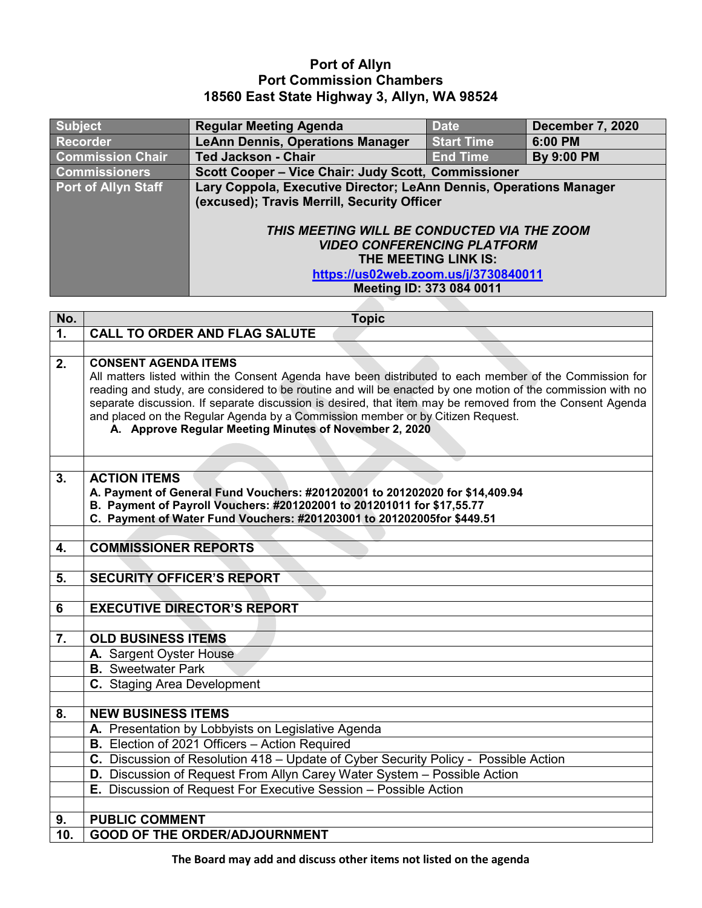## **Port of Allyn Port Commission Chambers 18560 East State Highway 3, Allyn, WA 98524**

| <b>Subject</b>          | <b>Regular Meeting Agenda</b>                                      | <b>Date</b>       | <b>December 7, 2020</b> |
|-------------------------|--------------------------------------------------------------------|-------------------|-------------------------|
| <b>Recorder</b>         | <b>LeAnn Dennis, Operations Manager</b>                            | <b>Start Time</b> | 6:00 PM                 |
| <b>Commission Chair</b> | <b>Ted Jackson - Chair</b>                                         | <b>End Time</b>   | <b>By 9:00 PM</b>       |
| <b>Commissioners</b>    | Scott Cooper - Vice Chair: Judy Scott, Commissioner                |                   |                         |
| Port of Allyn Staff     | Lary Coppola, Executive Director; LeAnn Dennis, Operations Manager |                   |                         |
|                         | (excused); Travis Merrill, Security Officer                        |                   |                         |
|                         |                                                                    |                   |                         |
|                         | THIS MEETING WILL BE CONDUCTED VIA THE ZOOM                        |                   |                         |
|                         | <b>VIDEO CONFERENCING PLATFORM</b>                                 |                   |                         |
|                         | THE MEETING LINK IS:                                               |                   |                         |
|                         | https://us02web.zoom.us/j/3730840011                               |                   |                         |
|                         | Meeting ID: 373 084 0011                                           |                   |                         |
|                         |                                                                    |                   |                         |

| No.            | <b>Topic</b>                                                                                                                                           |
|----------------|--------------------------------------------------------------------------------------------------------------------------------------------------------|
| $\mathbf{1}$ . | <b>CALL TO ORDER AND FLAG SALUTE</b>                                                                                                                   |
|                |                                                                                                                                                        |
| 2.             | <b>CONSENT AGENDA ITEMS</b><br>All matters listed within the Consent Agenda have been distributed to each member of the Commission for                 |
|                | reading and study, are considered to be routine and will be enacted by one motion of the commission with no                                            |
|                | separate discussion. If separate discussion is desired, that item may be removed from the Consent Agenda                                               |
|                | and placed on the Regular Agenda by a Commission member or by Citizen Request.                                                                         |
|                | A. Approve Regular Meeting Minutes of November 2, 2020                                                                                                 |
|                |                                                                                                                                                        |
|                |                                                                                                                                                        |
| 3.             | <b>ACTION ITEMS</b>                                                                                                                                    |
|                | A. Payment of General Fund Vouchers: #201202001 to 201202020 for \$14,409.94<br>B. Payment of Payroll Vouchers: #201202001 to 201201011 for \$17,55.77 |
|                | C. Payment of Water Fund Vouchers: #201203001 to 201202005for \$449.51                                                                                 |
|                |                                                                                                                                                        |
| 4.             | <b>COMMISSIONER REPORTS</b>                                                                                                                            |
|                |                                                                                                                                                        |
| 5.             | <b>SECURITY OFFICER'S REPORT</b>                                                                                                                       |
|                |                                                                                                                                                        |
| 6              | <b>EXECUTIVE DIRECTOR'S REPORT</b>                                                                                                                     |
|                |                                                                                                                                                        |
| 7.             | <b>OLD BUSINESS ITEMS</b>                                                                                                                              |
|                | A. Sargent Oyster House                                                                                                                                |
|                | <b>B.</b> Sweetwater Park                                                                                                                              |
|                | C. Staging Area Development                                                                                                                            |
|                |                                                                                                                                                        |
| 8.             | <b>NEW BUSINESS ITEMS</b>                                                                                                                              |
|                | A. Presentation by Lobbyists on Legislative Agenda<br>B. Election of 2021 Officers - Action Required                                                   |
|                | C. Discussion of Resolution 418 - Update of Cyber Security Policy - Possible Action                                                                    |
|                |                                                                                                                                                        |
|                | D. Discussion of Request From Allyn Carey Water System - Possible Action<br>E. Discussion of Request For Executive Session - Possible Action           |
|                |                                                                                                                                                        |
| 9.             | <b>PUBLIC COMMENT</b>                                                                                                                                  |
| 10.            | <b>GOOD OF THE ORDER/ADJOURNMENT</b>                                                                                                                   |
|                |                                                                                                                                                        |